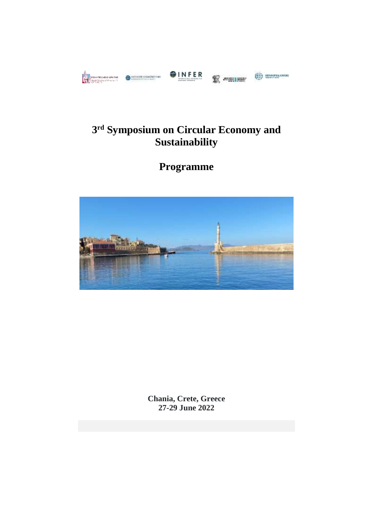



# **3 rd Symposium on Circular Economy and Sustainability**

**Programme**



**Chania, Crete, Greece 27-29 June 2022**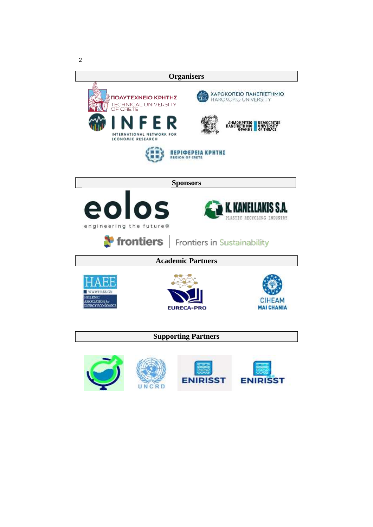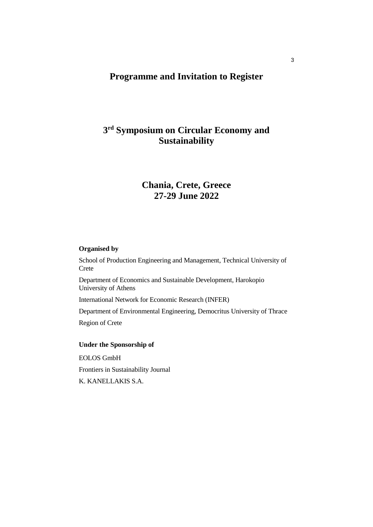## **Programme and Invitation to Register**

## **3 rd Symposium on Circular Economy and Sustainability**

## **Chania, Crete, Greece 27-29 June 2022**

## **Organised by**

School of Production Engineering and Management, Technical University of Crete Department of Economics and Sustainable Development, Harokopio University of Athens International Network for Economic Research (INFER) Department of Environmental Engineering, Democritus University of Thrace Region of Crete **Under the Sponsorship of**  EOLOS GmbH

Frontiers in Sustainability Journal

K. KANELLAKIS S.A.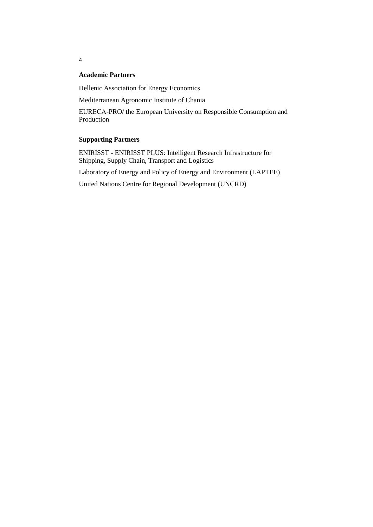## **Academic Partners**

Hellenic Association for Energy Economics

Mediterranean Agronomic Institute of Chania

ΕURECA-PRO/ the European University on Responsible Consumption and Production

## **Supporting Partners**

ENIRISST - ENIRISST PLUS: Intelligent Research Infrastructure for Shipping, Supply Chain, Transport and Logistics

Laboratory of Energy and Policy of Energy and Environment (LAPTEE)

United Nations Centre for Regional Development (UNCRD)

4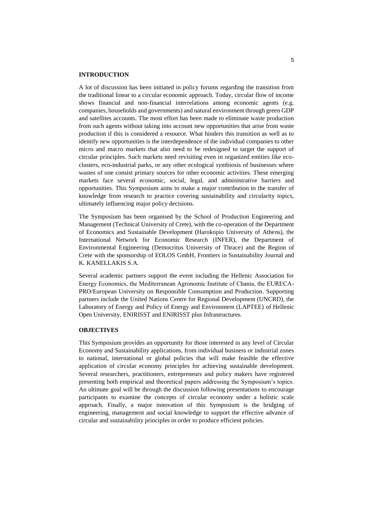#### **INTRODUCTION**

A lot of discussion has been initiated in policy forums regarding the transition from the traditional linear to a circular economic approach. Today, circular flow of income shows financial and non-financial interrelations among economic agents (e.g. companies, households and governments) and natural environment through green GDP and satellites accounts. The most effort has been made to eliminate waste production from such agents without taking into account new opportunities that arise from waste production if this is considered a resource. What hinders this transition as well as to identify new opportunities is the interdependence of the individual companies to other micro and macro markets that also need to be redesigned to target the support of circular principles. Such markets need revisiting even in organized entities like ecoclusters, eco-industrial parks, or any other ecological symbiosis of businesses where wastes of one consist primary sources for other economic activities. These emerging markets face several economic, social, legal, and administrative barriers and opportunities. This Symposium aims to make a major contribution to the transfer of knowledge from research to practice covering sustainability and circularity topics, ultimately influencing major policy decisions.

The Symposium has been organised by the School of Production Engineering and Management (Technical University of Crete), with the co-operation of the Department of Economics and Sustainable Development (Harokopio University of Athens), the International Network for Economic Research (INFER), the Department of Environmental Engineering (Democritus University of Thrace) and the Region of Crete with the sponsorship of EOLOS GmbH, Frontiers in Sustainability Journal and K. KANELLAKIS S.A.

Several academic partners support the event including the Hellenic Association for Energy Economics, the Mediterranean Agronomic Institute of Chania, the ΕURECA-PRO/European University on Responsible Consumption and Production. Supporting partners include the United Nations Centre for Regional Development (UNCRD), the Laboratory of Energy and Policy of Energy and Environment (LAPTEE) of Hellenic Open University, ENIRISST and ENIRISST plus Infrastructures.

#### **OBJECTIVES**

This Symposium provides an opportunity for those interested in any level of Circular Economy and Sustainability applications, from individual business or industrial zones to national, international or global policies that will make feasible the effective application of circular economy principles for achieving sustainable development. Several researchers, practitioners, entrepreneurs and policy makers have registered presenting both empirical and theoretical papers addressing the Symposium's topics. An ultimate goal will be through the discussion following presentations to encourage participants to examine the concepts of circular economy under a holistic scale approach. Finally, a major innovation of this Symposium is the bridging of engineering, management and social knowledge to support the effective advance of circular and sustainability principles in order to produce efficient policies.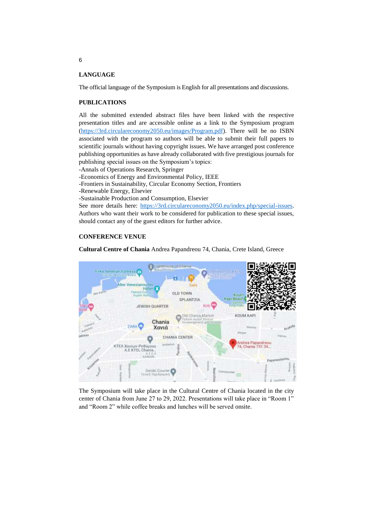#### **LANGUAGE**

The official language of the Symposium is English for all presentations and discussions.

#### **PUBLICATIONS**

All the submitted extended abstract files have been linked with the respective presentation titles and are accessible online as a link to the Symposium program [\(https://3rd.circulareconomy2050.eu/images/Program.pdf\)](https://3rd.circulareconomy2050.eu/images/Program.pdf). There will be no ISBN associated with the program so authors will be able to submit their full papers to scientific journals without having copyright issues. We have arranged post conference publishing opportunities as have already collaborated with five prestigious journals for publishing special issues on the Symposium's topics:

-Annals of Operations Research, Springer

-Economics of Energy and Environmental Policy, IEEE

- -Frontiers in Sustainability, Circular Economy Section, Frontiers
- -Renewable Energy, Elsevier
- -Sustainable Production and Consumption, Elsevier

See more details here: [https://3rd.circulareconomy2050.eu/index.php/special-issues.](https://3rd.circulareconomy2050.eu/index.php/special-issues) Authors who want their work to be considered for publication to these special issues, should contact any of the guest editors for further advice.

#### **CONFERENCE VENUE**

**Cultural Centre of Chania** Andrea Papandreou 74, Chania, Crete Island, Greece



The Symposium will take place in the Cultural Centre of Chania located in the city center of Chania from June 27 to 29, 2022. Presentations will take place in "Room 1" and "Room 2" while coffee breaks and lunches will be served onsite.

6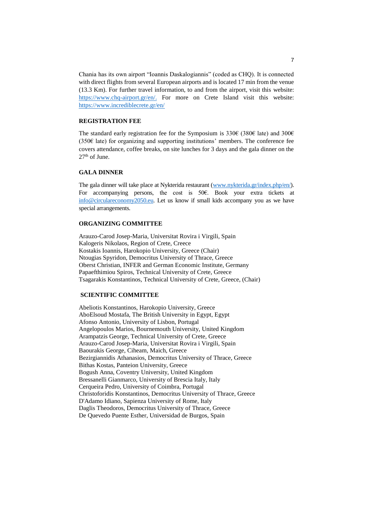Chania has its own airport "Ioannis Daskalogiannis" (coded as CHQ). It is connected with direct flights from several European airports and is located 17 min from the venue (13.3 Km). For further travel information, to and from the airport, visit this [website:](https://www.chq-airport.gr/en/) [https://www.chq-airport.gr/en/.](https://www.chq-airport.gr/en/) For more on Crete Island visit this [website:](https://www.chq-airport.gr/en/) <https://www.incrediblecrete.gr/en/>

#### **REGISTRATION FEE**

The standard early registration fee for the Symposium is 330€ (380€ late) and 300€ (350€ late) for organizing and supporting institutions' members. The conference fee covers attendance, coffee breaks, on site lunches for 3 days and the gala dinner on the 27<sup>th</sup> of June.

#### **GALA DINNER**

The gala dinner will take place at Nykterida restaurant [\(www.nykterida.gr/index.php/en/\)](http://www.nykterida.gr/index.php/en/). For accompanying persons, the cost is 50€. Book your extra tickets at [info@circulareconomy2050.eu.](mailto:info@circulareconomy2050.eu) Let us know if small kids accompany you as we have special arrangements.

#### **ORGANIZING COMMITTEE**

Arauzo-Carod Josep-Maria, Universitat Rovira i Virgili, Spain Kalogeris Nikolaos, Region of Crete, Creece Kostakis Ioannis, Harokopio University, Greece (Chair) Ntougias Spyridon, Democritus University of Thrace, Greece Oberst Christian, INFER and German Economic Institute, Germany Papaefthimiou Spiros, Technical University of Crete, Greece Tsagarakis Konstantinos, Technical University of Crete, Greece, (Chair)

#### **SCIENTIFIC COMMITTEE**

Abeliotis Konstantinos, Harokopio University, Greece AboElsoud Mostafa, The British University in Egypt, Egypt Afonso Antonio, University of Lisbon, Portugal Angelopoulos Marios, Bournemouth University, United Kingdom Arampatzis George, Technical University of Crete, Greece Arauzo-Carod Josep-Maria, Universitat Rovira i Virgili, Spain Baourakis George, Ciheam, Maich, Greece Bezirgiannidis Athanasios, Democritus University of Thrace, Greece Bithas Kostas, Panteion University, Greece Bogush Anna, Coventry University, United Kingdom Bressanelli Gianmarco, University of Brescia Italy, Italy Cerqueira Pedro, University of Coimbra, Portugal Christoforidis Konstantinos, Democritus University of Thrace, Greece D'Adamo Idiano, Sapienza University of Rome, Italy Daglis Theodoros, Democritus University of Thrace, Greece De Quevedo Puente Esther, Universidad de Burgos, Spain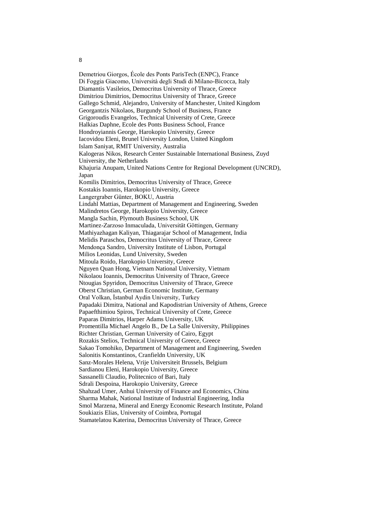8

Demetriou Giorgos, École des Ponts ParisTech (ENPC), France Di Foggia Giacomo, Università degli Studi di Milano-Bicocca, Italy Diamantis Vasileios, Democritus University of Thrace, Greece Dimitriou Dimitrios, Democritus University of Thrace, Greece Gallego Schmid, Alejandro, University of Manchester, United Kingdom Georgantzis Nikolaos, Burgundy School of Business, France Grigoroudis Evangelos, Technical University of Crete, Greece Halkias Daphne, Ecole des Ponts Business School, France Hondroyiannis George, Harokopio University, Greece Iacovidou Eleni, Brunel University London, United Kingdom Islam Saniyat, RMIT University, Australia Kalogeras Nikos, Research Center Sustainable International Business, Zuyd University, the Netherlands Khajuria Anupam, United Nations Centre for Regional Development (UNCRD), Japan Komilis Dimitrios, Democritus University of Thrace, Greece Kostakis Ioannis, Harokopio University, Greece Langergraber Günter, BOKU, Austria Lindahl Mattias, Department of Management and Engineering, Sweden Malindretos George, Harokopio University, Greece Mangla Sachin, Plymouth Business School, UK Martinez-Zarzoso Inmaculada, Universität Göttingen, Germany Mathiyazhagan Kaliyan, Thiagarajar School of Management, India Melidis Paraschos, Democritus University of Thrace, Greece Mendonça Sandro, University Institute of Lisbon, Portugal Milios Leonidas, Lund University, Sweden Mitoula Roido, Harokopio University, Greece Nguyen Quan Hong, Vietnam National University, Vietnam Nikolaou Ioannis, Democritus University of Thrace, Greece Ntougias Spyridon, Democritus University of Thrace, Greece Oberst Christian, German Economic Institute, Germany Oral Volkan, İstanbul Aydin University, Turkey Papadaki Dimitra, National and Kapodistrian University of Athens, Greece Papaefthimiou Spiros, Technical University of Crete, Greece Paparas Dimitrios, Harper Adams University, UK Promentilla Michael Angelo B., De La Salle University, Philippines Richter Christian, German University of Cairo, Egypt Rozakis Stelios, Technical University of Greece, Greece Sakao Tomohiko, Department of Management and Engineering, Sweden Salonitis Konstantinos, Cranfieldn University, UK Sanz-Morales Helena, Vrije Universiteit Brussels, Belgium Sardianou Eleni, Harokopio University, Greece Sassanelli Claudio, Politecnico of Bari, Italy Sdrali Despoina, Harokopio University, Greece Shahzad Umer, Anhui University of Finance and Economics, China Sharma Mahak, National Institute of Industrial Engineering, India Smol Marzena, Mineral and Energy Economic Research Institute, Poland Soukiazis Elias, University of Coimbra, Portugal Stamatelatou Katerina, Democritus University of Thrace, Greece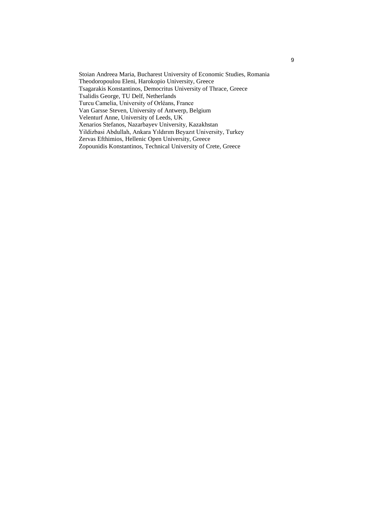Stoian Andreea Maria, Bucharest University of Economic Studies, Romania Theodoropoulou Eleni, Harokopio University, Greece Tsagarakis Konstantinos, Democritus University of Thrace, Greece Tsalidis George, TU Delf, Netherlands Turcu Camelia, University of Orléans, France Van Garsse Steven, University of Antwerp, Belgium Velenturf Anne, University of Leeds, UK Xenarios Stefanos, Nazarbayev University, Kazakhstan Yildizbasi Abdullah, Ankara Yıldırım Beyazıt University, Turkey Zervas Efthimios, Hellenic Open University, Greece

Zopounidis Konstantinos, Technical University of Crete, Greece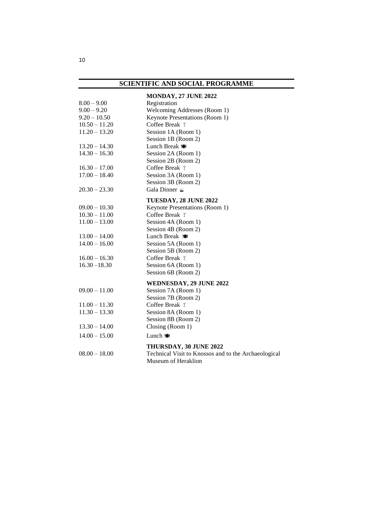## **SCIENTIFIC AND SOCIAL PROGRAMME**

| $8.00 - 9.00$<br>$9.00 - 9.20$<br>$9.20 - 10.50$<br>$10.50 - 11.20$<br>$11.20 - 13.20$ | MONDAY, 27 JUNE 2022<br>Registration<br>Welcoming Addresses (Room 1)<br>Keynote Presentations (Room 1)<br>Coffee Break T<br>Session 1A (Room 1)<br>Session 1B (Room 2) |
|----------------------------------------------------------------------------------------|------------------------------------------------------------------------------------------------------------------------------------------------------------------------|
| $13.20 - 14.30$                                                                        | Lunch Break to                                                                                                                                                         |
| $14.30 - 16.30$                                                                        | Session 2A (Room 1)<br>Session 2B (Room 2)                                                                                                                             |
| $16.30 - 17.00$                                                                        | Coffee Break ™                                                                                                                                                         |
| $17.00 - 18.40$                                                                        | Session 3A (Room 1)                                                                                                                                                    |
|                                                                                        | Session 3B (Room 2)                                                                                                                                                    |
| $20.30 - 23.30$                                                                        | Gala Dinner                                                                                                                                                            |
|                                                                                        | TUESDAY, 28 JUNE 2022                                                                                                                                                  |
| $09.00 - 10.30$                                                                        | Keynote Presentations (Room 1)                                                                                                                                         |
| $10.30 - 11.00$                                                                        | Coffee Break T                                                                                                                                                         |
| $11.00 - 13.00$                                                                        | Session 4A (Room 1)                                                                                                                                                    |
|                                                                                        | Session 4B (Room 2)                                                                                                                                                    |
| $13.00 - 14.00$                                                                        | Lunch Break $\bullet$                                                                                                                                                  |
| $14.00 - 16.00$                                                                        | Session 5A (Room 1)<br>Session 5B (Room 2)                                                                                                                             |
| $16.00 - 16.30$                                                                        | Coffee Break T                                                                                                                                                         |
| $16.30 - 18.30$                                                                        | Session 6A (Room 1)                                                                                                                                                    |
|                                                                                        | Session 6B (Room 2)                                                                                                                                                    |
|                                                                                        | WEDNESDAY, 29 JUNE 2022                                                                                                                                                |
| $09.00 - 11.00$                                                                        | Session 7A (Room 1)<br>Session 7B (Room 2)                                                                                                                             |
| $11.00 - 11.30$                                                                        | Coffee Break $\top$                                                                                                                                                    |
| $11.30 - 13.30$                                                                        | Session 8A (Room 1)                                                                                                                                                    |
| $13.30 - 14.00$                                                                        | Session 8B (Room 2)<br>Closing (Room 1)                                                                                                                                |
| $14.00 - 15.00$                                                                        | Lunch to                                                                                                                                                               |
|                                                                                        |                                                                                                                                                                        |
| $08.00 - 18.00$                                                                        | THURSDAY, 30 JUNE 2022<br>Technical Visit to Knossos and to the Archaeological<br>Museum of Heraklion                                                                  |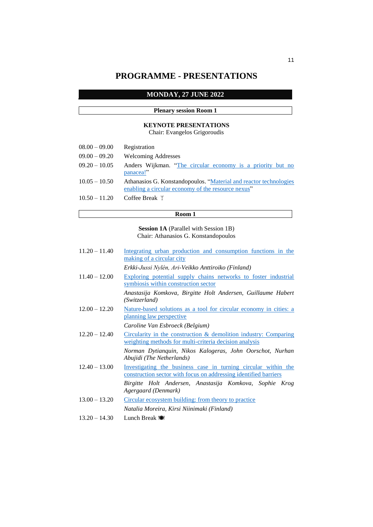## **PROGRAMME - PRESENTATIONS**

## **MONDAY, 27 JUNE 2022**

## **Plenary session Room 1**

## **KEYNOTE PRESENTATIONS**

Chair: Evangelos Grigoroudis

| $08.00 - 09.00$ | Registration                                                                                                            |
|-----------------|-------------------------------------------------------------------------------------------------------------------------|
| $09.00 - 09.20$ | <b>Welcoming Addresses</b>                                                                                              |
| $09.20 - 10.05$ | Anders Wijkman. "The circular economy is a priority but no<br>panacea!"                                                 |
| $10.05 - 10.50$ | Athanasios G. Konstandopoulos. "Material and reactor technologies<br>enabling a circular economy of the resource nexus" |
| $10.50 - 11.20$ | Coffee Break $\mathbb{I}$                                                                                               |

#### **Room 1**

**Session 1A** (Parallel with Session 1B) Chair: Athanasios G. Konstandopoulos

| $11.20 - 11.40$ | Integrating urban production and consumption functions in the<br>making of a circular city                                         |
|-----------------|------------------------------------------------------------------------------------------------------------------------------------|
|                 | Erkki-Jussi Nylén, Ari-Veikko Anttiroiko (Finland)                                                                                 |
| $11.40 - 12.00$ | <b>Exploring potential supply chains networks to foster industrial</b><br>symbiosis within construction sector                     |
|                 | Anastasija Komkova, Birgitte Holt Andersen, Guillaume Habert<br>(Switzerland)                                                      |
| $12.00 - 12.20$ | Nature-based solutions as a tool for circular economy in cities: a<br><u>planning law perspective</u>                              |
|                 | Caroline Van Esbroeck (Belgium)                                                                                                    |
| $12.20 - 12.40$ | Circularity in the construction $\&$ demolition industry: Comparing<br>weighting methods for multi-criteria decision analysis      |
|                 | Norman Dytianquin, Nikos Kalogeras, John Oorschot, Nurhan<br>Abujidi (The Netherlands)                                             |
| $12.40 - 13.00$ | Investigating the business case in turning circular within the<br>construction sector with focus on addressing identified barriers |
|                 | Birgitte Holt Andersen, Anastasija Komkova, Sophie Krog<br>Agergaard (Denmark)                                                     |
| $13.00 - 13.20$ | Circular ecosystem building: from theory to practice                                                                               |
|                 | Natalia Moreira, Kirsi Niinimaki (Finland)                                                                                         |
| $13.20 - 14.30$ | Lunch Break to                                                                                                                     |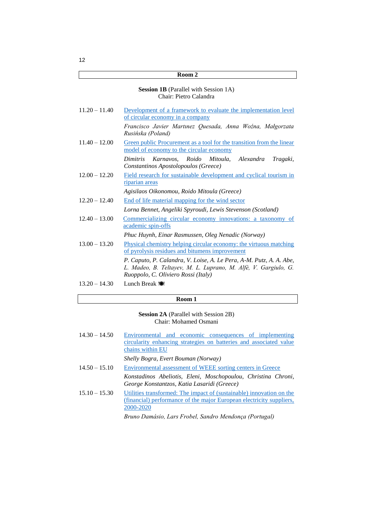#### **Session 1B** (Parallel with Session 1A) Chair: Pietro Calandra

| $11.20 - 11.40$ | Development of a framework to evaluate the implementation level<br>of circular economy in a company                                                                          |
|-----------------|------------------------------------------------------------------------------------------------------------------------------------------------------------------------------|
|                 | Francisco Javier Martinez Quesada, Anna Woźna, Małgorzata<br>Rusińska (Poland)                                                                                               |
| $11.40 - 12.00$ | Green public Procurement as a tool for the transition from the linear<br>model of economy to the circular economy                                                            |
|                 | Dimitris Karnavos, Roido Mitoula, Alexandra<br>Tragaki,<br>Constantinos Apostolopoulos (Greece)                                                                              |
| $12.00 - 12.20$ | Field research for sustainable development and cyclical tourism in<br>riparian areas                                                                                         |
|                 | Agisilaos Oikonomou, Roido Mitoula (Greece)                                                                                                                                  |
| $12.20 - 12.40$ | End of life material mapping for the wind sector                                                                                                                             |
|                 | Lorna Bennet, Angeliki Spyroudi, Lewis Stevenson (Scotland)                                                                                                                  |
| $12.40 - 13.00$ | Commercializing circular economy innovations: a taxonomy of<br>academic spin-offs                                                                                            |
|                 | Phuc Huynh, Einar Rasmussen, Oleg Nenadic (Norway)                                                                                                                           |
| $13.00 - 13.20$ | Physical chemistry helping circular economy: the virtuous matching<br>of pyrolysis residues and bitumens improvement                                                         |
|                 | P. Caputo, P. Calandra, V. Loise, A. Le Pera, A-M. Putz, A. A. Abe,<br>L. Madeo, B. Teltayev, M. L. Luprano, M. Alfè, V. Gargiulo, G.<br>Ruoppolo, C. Oliviero Rossi (Italy) |
| $13.20 - 14.30$ | Lunch Break to                                                                                                                                                               |

## **Room 1**

## **Session 2A** (Parallel with Session 2B) Chair: Mohamed Osmani

| $14.30 - 14.50$ | Environmental and economic consequences of implementing                                                      |
|-----------------|--------------------------------------------------------------------------------------------------------------|
|                 | circularity enhancing strategies on batteries and associated value                                           |
|                 | chains within EU                                                                                             |
|                 | Shelly Bogra, Evert Bouman (Norway)                                                                          |
| $14.50 - 15.10$ | Environmental assessment of WEEE sorting centers in Greece                                                   |
|                 | Konstadinos Abeliotis, Eleni, Moschopoulou, Christina Chroni,<br>George Konstantzos, Katia Lasaridi (Greece) |
| $15.10 - 15.30$ | Utilities transformed: The impact of (sustainable) innovation on the                                         |
|                 | (financial) performance of the major European electricity suppliers,                                         |
|                 | 2000-2020                                                                                                    |
|                 |                                                                                                              |

*Bruno Damásio, Lars Frobel, Sandro Mendonça (Portugal)*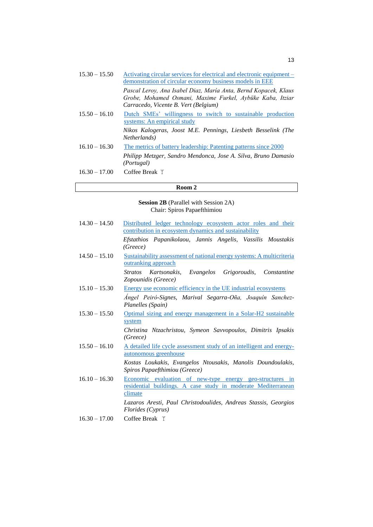| $15.30 - 15.50$ | Activating circular services for electrical and electronic equipment –<br>demonstration of circular economy business models in EEE                                   |
|-----------------|----------------------------------------------------------------------------------------------------------------------------------------------------------------------|
|                 | Pascal Leroy, Ana Isabel Diaz, María Anta, Bernd Kopacek, Klaus<br>Grobe, Mohamed Osmani, Maxime Furkel, Aybüke Kaba, Itziar<br>Carracedo, Vicente B. Vert (Belgium) |
| $15.50 - 16.10$ | Dutch SMEs' willingness to switch to sustainable production<br>systems: An empirical study                                                                           |
|                 | Nikos Kalogeras, Joost M.E. Pennings, Liesbeth Besselink (The<br><i>Netherlands</i> )                                                                                |
| $16.10 - 16.30$ | The metrics of battery leadership: Patenting patterns since 2000                                                                                                     |
|                 | Philipp Metzger, Sandro Mendonca, Jose A. Silva, Bruno Damasio<br><i>(Portugal)</i>                                                                                  |
| $16.30 - 17.00$ | Coffee Break $\bar{r}$                                                                                                                                               |

## **Session 2B** (Parallel with Session 2A) Chair: Spiros Papaefthimiou

| $14.30 - 14.50$    | Distributed ledger technology ecosystem actor roles and their                                                                        |
|--------------------|--------------------------------------------------------------------------------------------------------------------------------------|
|                    | contribution in ecosystem dynamics and sustainability                                                                                |
|                    | Efstathios Papanikolaou, Jannis Angelis, Vassilis Moustakis<br>(Greeze)                                                              |
| $14.50 - 15.10$    | Sustainability assessment of national energy systems: A multicriteria<br>outranking approach                                         |
|                    | Stratos Kartsonakis, Evangelos Grigoroudis, Constantine<br>Zopounidis (Greece)                                                       |
| $15.10 - 15.30$    | Energy use economic efficiency in the UE industrial ecosystems                                                                       |
|                    | Ángel Peiró-Signes, Marival Segarra-Oña, Joaquín Sanchez-<br>Planelles (Spain)                                                       |
| $15.30 - 15.50$    | Optimal sizing and energy management in a Solar-H2 sustainable<br>system                                                             |
|                    | Christina Ntzachristou, Symeon Savvopoulos, Dimitris Ipsakis<br>(Greeze)                                                             |
| $15.50 - 16.10$    | A detailed life cycle assessment study of an intelligent and energy-<br>autonomous greenhouse                                        |
|                    | Kostas Loukakis, Evangelos Ntousakis, Manolis Doundoulakis,<br>Spiros Papaefthimiou (Greece)                                         |
| $16.10 - 16.30$    | Economic evaluation of new-type energy geo-structures in<br>residential buildings. A case study in moderate Mediterranean<br>climate |
|                    | Lazaros Aresti, Paul Christodoulides, Andreas Stassis, Georgios<br>Florides (Cyprus)                                                 |
| $1 \in 20$ $17.00$ | $C_1, C_2, D_3, A_1 \quad \forall$                                                                                                   |

16.30 – 17.00 Coffee Break  $\top$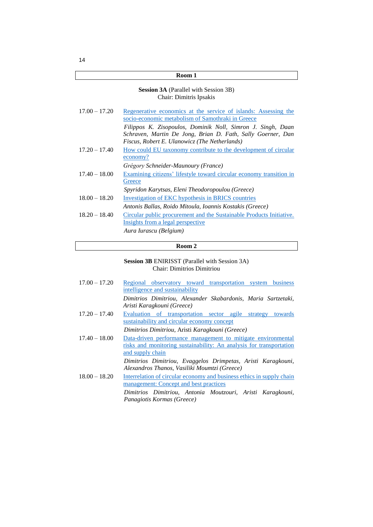## **Session 3A** (Parallel with Session 3B) Chair: Dimitris Ipsakis

| $17.00 - 17.20$ | Regenerative economics at the service of islands: Assessing the<br>socio-economic metabolism of Samothraki in Greece |
|-----------------|----------------------------------------------------------------------------------------------------------------------|
|                 |                                                                                                                      |
|                 | Filippos K. Zisopoulos, Dominik Noll, Simron J. Singh, Daan                                                          |
|                 | Schraven, Martin De Jong, Brian D. Fath, Sally Goerner, Dan                                                          |
|                 | Fiscus, Robert E. Ulanowicz (The Netherlands)                                                                        |
| $17.20 - 17.40$ | How could EU taxonomy contribute to the development of circular                                                      |
|                 | economy?                                                                                                             |
|                 | Grégory Schneider-Maunoury (France)                                                                                  |
| $17.40 - 18.00$ | Examining citizens' lifestyle toward circular economy transition in                                                  |
|                 | Greece                                                                                                               |
|                 | Spyridon Karytsas, Eleni Theodoropoulou (Greece)                                                                     |
| $18.00 - 18.20$ | <b>Investigation of EKC hypothesis in BRICS countries</b>                                                            |
|                 | Antonis Ballas, Roido Mitoula, Ioannis Kostakis (Greece)                                                             |
| $18.20 - 18.40$ | Circular public procurement and the Sustainable Products Initiative.                                                 |
|                 | Insights from a legal perspective                                                                                    |
|                 | Aura Iurascu (Belgium)                                                                                               |
|                 |                                                                                                                      |

## **Room 2**

#### **Session 3B** ENIRISST (Parallel with Session 3A) Chair: Dimitrios Dimitriou

| $17.00 - 17.20$ | Regional observatory toward transportation system business<br>intelligence and sustainability                                                           |
|-----------------|---------------------------------------------------------------------------------------------------------------------------------------------------------|
|                 | Dimitrios Dimitriou, Alexander Skabardonis, Maria Sartzetaki,<br>Aristi Karagkouni (Greece)                                                             |
| $17.20 - 17.40$ | Evaluation of transportation sector agile strategy<br>towards<br>sustainability and circular economy concept                                            |
|                 | Dimitrios Dimitriou, Aristi Karagkouni (Greece)                                                                                                         |
| $17.40 - 18.00$ | Data-driven performance management to mitigate environmental<br>risks and monitoring sustainability: An analysis for transportation<br>and supply chain |
|                 | Dimitrios Dimitriou, Evaggelos Drimpetas, Aristi Karagkouni,<br>Alexandros Thanos, Vasiliki Moumtzi (Greece)                                            |
| $18.00 - 18.20$ | Interrelation of circular economy and business ethics in supply chain<br>management: Concept and best practices                                         |
|                 | Dimitrios Dimitriou, Antonia Moutzouri, Aristi Karagkouni,<br>Panagiotis Kormas (Greece)                                                                |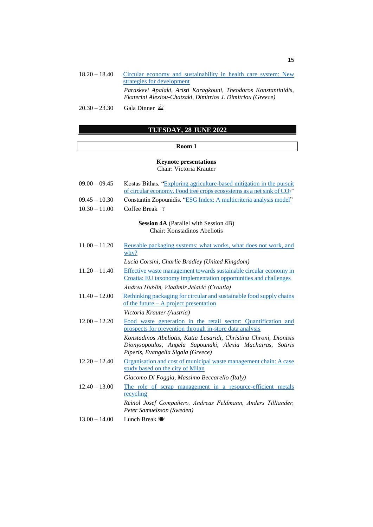- 18.20 18.40 Circular [economy and sustainability in health care system: New](https://3rd.circulareconomy2050.eu/Proceedings/3B_6.pdf)  [strategies for development](https://3rd.circulareconomy2050.eu/Proceedings/3B_6.pdf) *Paraskevi Apalaki, Aristi Karagkouni, Theodoros Konstantinidis, Ekaterini Alexiou-Chatzaki, Dimitrios J. Dimitriou (Greece)*
- $20.30 23.30$  Gala Dinner

## **TUESDAY, 28 JUNE 2022**

#### **Room 1**

#### **Keynote presentations** Chair: Victoria Krauter

| $09.00 - 09.45$ | Kostas Bithas. "Exploring agriculture-based mitigation in the pursuit                                                                                                 |
|-----------------|-----------------------------------------------------------------------------------------------------------------------------------------------------------------------|
|                 | of circular economy. Food tree crops ecosystems as a net sink of CO <sub>2</sub> "                                                                                    |
| $09.45 - 10.30$ | Constantin Zopounidis. "ESG Index: A multicriteria analysis model"                                                                                                    |
| $10.30 - 11.00$ | Coffee Break $\bar{z}$                                                                                                                                                |
|                 | <b>Session 4A</b> (Parallel with Session 4B)<br>Chair: Konstadinos Abeliotis                                                                                          |
| $11.00 - 11.20$ | Reusable packaging systems: what works, what does not work, and<br>why?                                                                                               |
|                 | Lucia Corsini, Charlie Bradley (United Kingdom)                                                                                                                       |
| $11.20 - 11.40$ | Effective waste management towards sustainable circular economy in<br>Croatia: EU taxonomy implementation opportunities and challenges                                |
|                 | Andrea Hublin, Vladimir Jelavić (Croatia)                                                                                                                             |
| $11.40 - 12.00$ | Rethinking packaging for circular and sustainable food supply chains<br>of the future $- A$ project presentation                                                      |
|                 | Victoria Krauter (Austria)                                                                                                                                            |
| $12.00 - 12.20$ | Food waste generation in the retail sector: Quantification and<br>prospects for prevention through in-store data analysis                                             |
|                 | Konstadinos Abeliotis, Katia Lasaridi, Christina Chroni, Dionisis<br>Dionysopoulos, Angela Sapounaki, Alexia Machairas, Sotiris<br>Piperis, Evangelia Sigala (Greece) |
| $12.20 - 12.40$ | Organisation and cost of municipal waste management chain: A case<br>study based on the city of Milan                                                                 |
|                 | Giacomo Di Foggia, Massimo Beccarello (Italy)                                                                                                                         |
| $12.40 - 13.00$ | The role of scrap management in a resource-efficient metals<br>recycling                                                                                              |
|                 | Reinol Josef Compañero, Andreas Feldmann, Anders Tilliander,<br>Peter Samuelsson (Sweden)                                                                             |
| $13.00 - 14.00$ | Lunch Break to                                                                                                                                                        |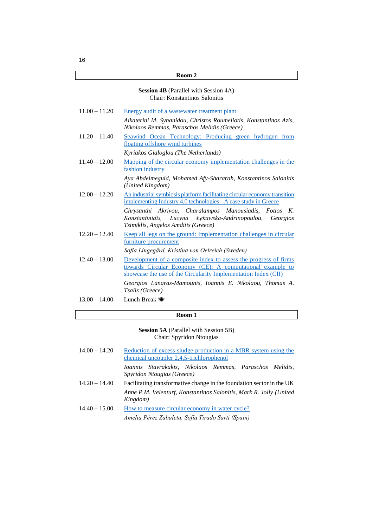#### **Session 4B** (Parallel with Session 4A) Chair: Konstantinos Salonitis

| $11.00 - 11.20$ | Energy audit of a wastewater treatment plant                                                                                                                                                    |
|-----------------|-------------------------------------------------------------------------------------------------------------------------------------------------------------------------------------------------|
|                 | Aikaterini M. Synanidou, Christos Roumeliotis, Konstantinos Azis,<br>Nikolaos Remmas, Paraschos Melidis (Greece)                                                                                |
| $11.20 - 11.40$ | Seawind Ocean Technology: Producing green hydrogen from<br>floating offshore wind turbines                                                                                                      |
|                 | Kyriakos Gialoglou (The Netherlands)                                                                                                                                                            |
| $11.40 - 12.00$ | Mapping of the circular economy implementation challenges in the<br>fashion industry                                                                                                            |
|                 | Aya Abdelmeguid, Mohamed Afy-Shararah, Konstantinos Salonitis<br>(United Kingdom)                                                                                                               |
| $12.00 - 12.20$ | An industrial symbiosis platform facilitating circular economy transition<br>implementing Industry 4.0 technologies - A case study in Greece                                                    |
|                 | Chrysanthi Akrivou, Charalampos Manousiadis, Fotios K.<br>Lucyna Łękawska-Andrinopoulou, Georgios<br>Konstantinidis,<br>Tsimiklis, Angelos Amditis (Greece)                                     |
| $12.20 - 12.40$ | Keep all legs on the ground: Implementation challenges in circular<br>furniture procurement                                                                                                     |
|                 | Sofia Lingegård, Kristina von Oelreich (Sweden)                                                                                                                                                 |
| $12.40 - 13.00$ | Development of a composite index to assess the progress of firms<br>towards Circular Economy (CE): A computational example to<br>showcase the use of the Circularity Implementation Index (CII) |
|                 | Georgios Lanaras-Mamounis, Ioannis E. Nikolaou, Thomas A.<br>Tsalis (Greece)                                                                                                                    |
| $13.00 - 14.00$ | Lunch Break to                                                                                                                                                                                  |

## **Room 1**

**Session 5A** (Parallel with Session 5B) Chair: Spyridon Ntougias

| $14.00 - 14.20$ | Reduction of excess sludge production in a MBR system using the<br>chemical uncoupler 2,4,5-trichlorophenol |
|-----------------|-------------------------------------------------------------------------------------------------------------|
|                 | Ioannis Stavrakakis, Nikolaos Remmas, Paraschos Melidis,<br>Spyridon Ntougias (Greece)                      |
| $14.20 - 14.40$ | Facilitating transformative change in the foundation sector in the UK                                       |
|                 | Anne P.M. Velenturf, Konstantinos Salonitis, Mark R. Jolly (United<br>Kingdom)                              |
| $14.40 - 15.00$ | How to measure circular economy in water cycle?                                                             |
|                 | Amelia Pérez Zabaleta, Sofía Tirado Sarti (Spain)                                                           |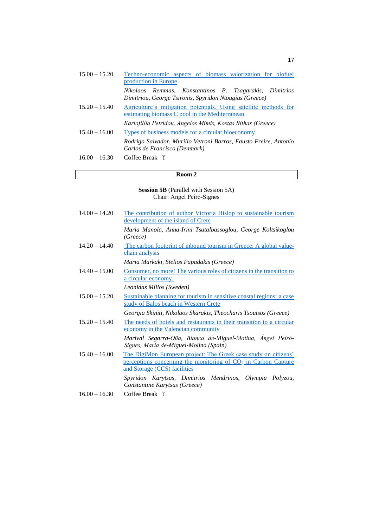| $15.00 - 15.20$ | Techno-economic aspects of biomass valorization for biofuel<br>production in Europe                                |
|-----------------|--------------------------------------------------------------------------------------------------------------------|
|                 | Nikolaos Remmas, Konstantinos P. Tsagarakis, Dimitrios<br>Dimitriou, George Tsironis, Spyridon Ntougias (Greece)   |
| $15.20 - 15.40$ | Agriculture's mitigation potentials. Using satellite methods for<br>estimating biomass C pool in the Mediterranean |
|                 | Kariofillia Petridou, Angelos Mimis, Kostas Bithas (Greece)                                                        |
| $15.40 - 16.00$ | Types of business models for a circular bioeconomy                                                                 |
|                 | Rodrigo Salvador, Murillo Vetroni Barros, Fausto Freire, Antonio<br>Carlos de Francisco (Denmark)                  |
| $16.00 - 16.30$ | Coffee Break $\bar{r}$                                                                                             |

#### **Session 5B** (Parallel with Session 5A) Chair: Ángel Peiró-Signes

| $14.00 - 14.20$ | The contribution of author Victoria Hislop to sustainable tourism<br>development of the island of Crete                                                             |
|-----------------|---------------------------------------------------------------------------------------------------------------------------------------------------------------------|
|                 | Maria Manola, Anna-Irini Tsatalbassoglou, George Koltsikoglou<br>(Greece)                                                                                           |
| $14.20 - 14.40$ | The carbon footprint of inbound tourism in Greece: A global value-<br>chain analysis                                                                                |
|                 | Maria Markaki, Stelios Papadakis (Greece)                                                                                                                           |
| $14.40 - 15.00$ | Consumer, no more! The various roles of citizens in the transition to<br>a circular economy.                                                                        |
|                 | Leonidas Milios (Sweden)                                                                                                                                            |
| $15.00 - 15.20$ | Sustainable planning for tourism in sensitive coastal regions: a case<br>study of Balos beach in Western Crete                                                      |
|                 | Georgia Skiniti, Nikolaos Skarakis, Theocharis Tsoutsos (Greece)                                                                                                    |
| $15.20 - 15.40$ | The needs of hotels and restaurants in their transition to a circular<br>economy in the Valencian community                                                         |
|                 | Marival Segarra-Oña, Blanca de-Miguel-Molina, Ángel Peiró-<br>Signes, María de-Miguel-Molina (Spain)                                                                |
| $15.40 - 16.00$ | The DigiMon European project: The Greek case study on citizens'<br>perceptions concerning the monitoring of $CO2$ in Carbon Capture<br>and Storage (CCS) facilities |
|                 | Spyridon Karytsas, Dimitrios Mendrinos, Olympia Polyzou,<br>Constantine Karytsas (Greece)                                                                           |
| $16.00 - 16.30$ | Coffee Break $\top$                                                                                                                                                 |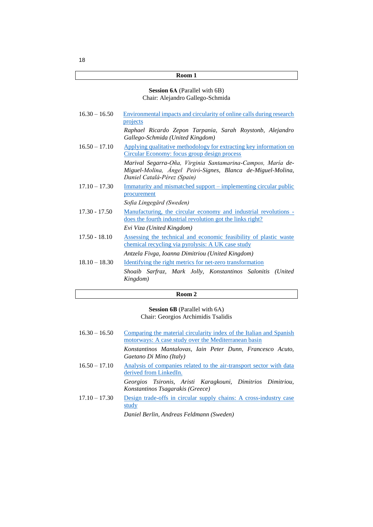## **Session 6Α** (Parallel with 6Β) Chair: Alejandro Gallego-Schmida

| $16.30 - 16.50$ | Environmental impacts and circularity of online calls during research                                              |
|-----------------|--------------------------------------------------------------------------------------------------------------------|
|                 | projects                                                                                                           |
|                 | Raphael Ricardo Zepon Tarpania, Sarah Roystonb, Alejandro                                                          |
|                 | Gallego-Schmida (United Kingdom)                                                                                   |
| $16.50 - 17.10$ | Applying qualitative methodology for extracting key information on<br>Circular Economy: focus group design process |
|                 | Marival Segarra-Oña, Virginia Santamarina-Campos, María de-                                                        |
|                 | Miguel-Molina, Ángel Peiró-Signes, Blanca de-Miguel-Molina,                                                        |
|                 | Daniel Catalá-Pérez (Spain)                                                                                        |
| $17.10 - 17.30$ | <u>Immaturity</u> and mismatched support – implementing circular public                                            |
|                 | procurement                                                                                                        |
|                 | Sofia Lingegård (Sweden)                                                                                           |
| $17.30 - 17.50$ | <u>Manufacturing</u> , the circular economy and industrial revolutions -                                           |
|                 | does the fourth industrial revolution got the links right?                                                         |
|                 | Evi Viza (United Kingdom)                                                                                          |
| $17.50 - 18.10$ | Assessing the technical and economic feasibility of plastic waste                                                  |
|                 | chemical recycling via pyrolysis: A UK case study                                                                  |
|                 | Antzela Fivga, Ioanna Dimitriou (United Kingdom)                                                                   |
| $18.10 - 18.30$ | Identifying the right metrics for net-zero transformation                                                          |
|                 | Shoaib Sarfraz, Mark Jolly, Konstantinos Salonitis (United<br>Kingdom)                                             |
|                 |                                                                                                                    |

## **Room 2**

**Session 6Β** (Parallel with 6Α) Chair: Georgios Archimidis Tsalidis

| $16.30 - 16.50$ | Comparing the material circularity index of the Italian and Spanish<br>motorways: A case study over the Mediterranean basin                                                                                                                                                                                                                                                                                       |
|-----------------|-------------------------------------------------------------------------------------------------------------------------------------------------------------------------------------------------------------------------------------------------------------------------------------------------------------------------------------------------------------------------------------------------------------------|
|                 | Konstantinos Mantalovas, Iain Peter Dunn, Francesco Acuto,<br>Gaetano Di Mino (Italy)                                                                                                                                                                                                                                                                                                                             |
| $16.50 - 17.10$ | Analysis of companies related to the air-transport sector with data<br>derived from LinkedIn.                                                                                                                                                                                                                                                                                                                     |
|                 | Georgios Tsironis, Aristi Karagkouni, Dimitrios Dimitriou,<br>Konstantinos Tsagarakis (Greece)                                                                                                                                                                                                                                                                                                                    |
| $17.10 - 17.30$ | Design trade-offs in circular supply chains: A cross-industry case<br>study<br>$\mathbf{D}$ $\mathbf{D}$ $\mathbf{D}$ $\mathbf{D}$ $\mathbf{D}$ $\mathbf{D}$ $\mathbf{D}$ $\mathbf{D}$ $\mathbf{D}$ $\mathbf{D}$ $\mathbf{D}$ $\mathbf{D}$ $\mathbf{D}$ $\mathbf{D}$ $\mathbf{D}$ $\mathbf{D}$ $\mathbf{D}$ $\mathbf{D}$ $\mathbf{D}$ $\mathbf{D}$ $\mathbf{D}$ $\mathbf{D}$ $\mathbf{D}$ $\mathbf{D}$ $\mathbf{$ |

*Daniel Berlin, Andreas Feldmann (Sweden)*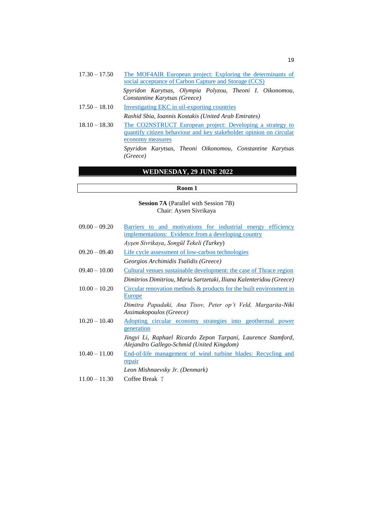| $17.30 - 17.50$ | social acceptance of Carbon Capture and Storage (CCS) |  |  | The MOF4AIR European project: Exploring the determinants of |
|-----------------|-------------------------------------------------------|--|--|-------------------------------------------------------------|
|                 | Constantine Karytsas (Greece)                         |  |  | Spyridon Karytsas, Olympia Polyzou, Theoni I. Oikonomou,    |

- $17.50 18.10$  [Investigating EKC in oil-exporting countries](https://3rd.circulareconomy2050.eu/Proceedings/3A_7.pdf) *Rashid Sbia, Ioannis Kostakis (United Arab Emirates)*
- 18.10 18.30 [The CO2NSTRUCT European project: Developing a strategy to](https://3rd.circulareconomy2050.eu/Proceedings/4B_2.pdf)  [quantify citizen behaviour and key stakeholder opinion on circular](https://3rd.circulareconomy2050.eu/Proceedings/4B_2.pdf)  [economy measures](https://3rd.circulareconomy2050.eu/Proceedings/4B_2.pdf) *Spyridon Karytsas, Theoni Oikonomou, Constantine Karytsas*

*(Greece)*

## **WEDNESDAY, 29 JUNE 2022**

#### **Room 1**

**Session 7A** (Parallel with Session 7B) Chair: Aysen Sivrikaya

| $09.00 - 09.20$ | Barriers to and motivations for industrial energy efficiency                                              |
|-----------------|-----------------------------------------------------------------------------------------------------------|
|                 | <u>implementations: Evidence from a developing country</u>                                                |
|                 | Ayşen Sivrikaya, Songül Tekeli (Turkey)                                                                   |
| $09.20 - 09.40$ | Life cycle assessment of low-carbon technologies                                                          |
|                 | Georgios Archimidis Tsalidis (Greece)                                                                     |
| $09.40 - 10.00$ | Cultural venues sustainable development: the case of Thrace region                                        |
|                 | Dimitrios Dimitriou, Maria Sartzetaki, Iliana Kalenteridou (Greece)                                       |
| $10.00 - 10.20$ | Circular renovation methods & products for the built environment in<br>Europe                             |
|                 | Dimitra Papadaki, Ana Tisov, Peter op't Veld, Margarita-Niki<br>Assimakopoulos (Greece)                   |
| $10.20 - 10.40$ | Adopting circular economy strategies into geothermal power<br>generation                                  |
|                 | Jingyi Li, Raphael Ricardo Zepon Tarpani, Laurence Stamford,<br>Alejandro Gallego-Schmid (United Kingdom) |
| $10.40 - 11.00$ | End-of-life management of wind turbine blades: Recycling and<br>repair                                    |
|                 | Leon Mishnaevsky Jr. (Denmark)                                                                            |
| $11.00 - 11.30$ | Coffee Break $\mathbb{Y}$                                                                                 |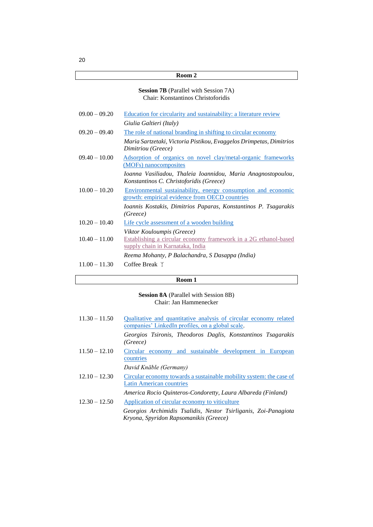#### **Session 7B** (Parallel with Session 7A) Chair: Konstantinos Christoforidis

| $09.00 - 09.20$ | Education for circularity and sustainability: a literature review                                               |
|-----------------|-----------------------------------------------------------------------------------------------------------------|
|                 | Giulia Galtieri (Italy)                                                                                         |
| $09.20 - 09.40$ | The role of national branding in shifting to circular economy                                                   |
|                 | Maria Sartzetaki, Victoria Pistikou, Evaggelos Drimpetas, Dimitrios<br>Dimitriou (Greece)                       |
| $09.40 - 10.00$ | <u>Adsorption of organics on novel clay/metal-organic frameworks</u><br>(MOFs) nanocomposites                   |
|                 | Ioanna Vasiliadou, Thaleia Ioannidou, Maria Anagnostopoulou,<br>Konstantinos C. Christoforidis (Greece)         |
| $10.00 - 10.20$ | Environmental sustainability, energy consumption and economic<br>growth: empirical evidence from OECD countries |
|                 | Ioannis Kostakis, Dimitrios Paparas, Konstantinos P. Tsagarakis<br>(Greece)                                     |
| $10.20 - 10.40$ | Life cycle assessment of a wooden building                                                                      |
| $10.40 - 11.00$ | Viktor Kouloumpis (Greece)<br>Establishing a circular economy framework in a 2G ethanol-based                   |
|                 | supply chain in Karnataka, India                                                                                |
|                 | Reema Mohanty, P Balachandra, S Dasappa (India)                                                                 |
| $11.00 - 11.30$ | Coffee Break $\bar{r}$                                                                                          |

## **Room 1**

## **Session 8A** (Parallel with Session 8B) Chair: Jan Hammenecker

| $11.30 - 11.50$ | Qualitative and quantitative analysis of circular economy related<br>companies' LinkedIn profiles, on a global scale. |
|-----------------|-----------------------------------------------------------------------------------------------------------------------|
|                 | Georgios Tsironis, Theodoros Daglis, Konstantinos Tsagarakis<br>(Greece)                                              |
| $11.50 - 12.10$ | Circular economy and sustainable development in European<br>countries                                                 |
|                 | David Knäble (Germany)                                                                                                |
| $12.10 - 12.30$ | Circular economy towards a sustainable mobility system: the case of<br><b>Latin American countries</b>                |
|                 | America Rocio Quinteros-Condoretty, Laura Albareda (Finland)                                                          |
| $12.30 - 12.50$ | Application of circular economy to viticulture                                                                        |
|                 | Georgios Archimidis Tsalidis, Nestor Tsirliganis, Zoi-Panagiota<br>Kryona, Spyridon Rapsomanikis (Greece)             |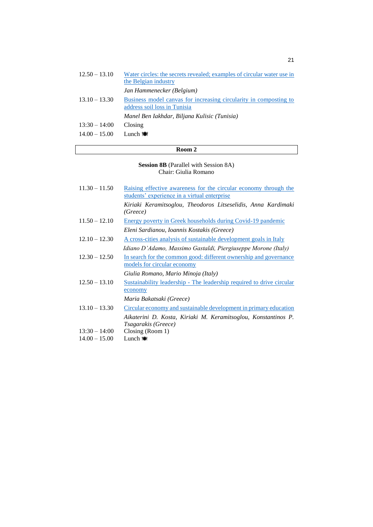| Water circles: the secrets revealed; examples of circular water use in<br>the Belgian industry |
|------------------------------------------------------------------------------------------------|
| Jan Hammenecker (Belgium)                                                                      |
| Business model canvas for increasing circularity in composting to                              |
| address soil loss in Tunisia                                                                   |
| Manel Ben Iakhdar, Biljana Kulisic (Tunisia)                                                   |
| Closing                                                                                        |
| Lunch $\circ$                                                                                  |
|                                                                                                |

**Session 8B** (Parallel with Session 8A) Chair: Giulia Romano

| $11.30 - 11.50$ | Raising effective awareness for the circular economy through the<br>students' experience in a virtual enterprise |
|-----------------|------------------------------------------------------------------------------------------------------------------|
|                 | Kiriaki Keramitsoglou, Theodoros Litseselidis, Anna Kardimaki<br>(Greeze)                                        |
| $11.50 - 12.10$ | Energy poverty in Greek households during Covid-19 pandemic                                                      |
|                 | Eleni Sardianou, Ioannis Kostakis (Greece)                                                                       |
| $12.10 - 12.30$ | A cross-cities analysis of sustainable development goals in Italy                                                |
|                 | Idiano D'Adamo, Massimo Gastaldi, Piergiuseppe Morone (Italy)                                                    |
| $12.30 - 12.50$ | In search for the common good: different ownership and governance<br>models for circular economy                 |
|                 | Giulia Romano, Mario Minoja (Italy)                                                                              |
| $12.50 - 13.10$ | Sustainability leadership - The leadership required to drive circular                                            |
|                 | economy                                                                                                          |
|                 | Maria Bakatsaki (Greece)                                                                                         |
| $13.10 - 13.30$ | Circular economy and sustainable development in primary education                                                |
|                 | Aikaterini D. Kosta, Kiriaki M. Keramitsoglou, Konstantinos P.<br>Tsagarakis (Greece)                            |
| $13:30 - 14:00$ | Closing (Room 1)                                                                                                 |
| $14.00 - 15.00$ | Lunch $\bullet$                                                                                                  |